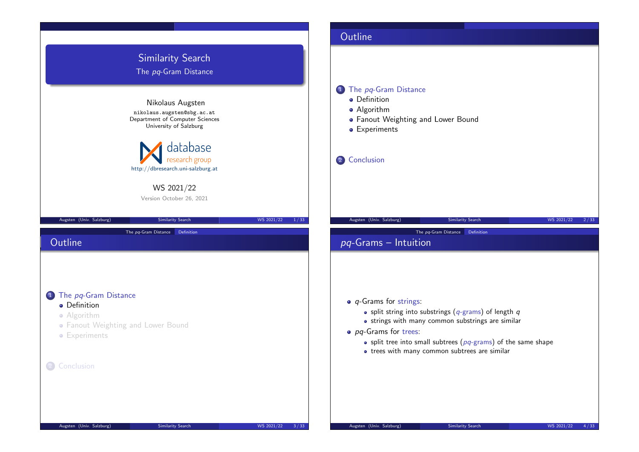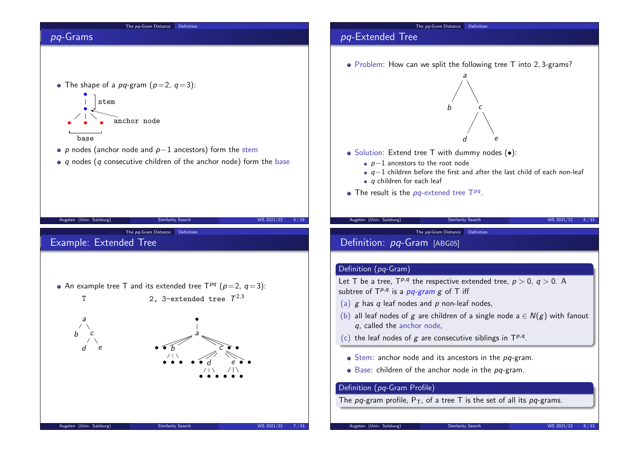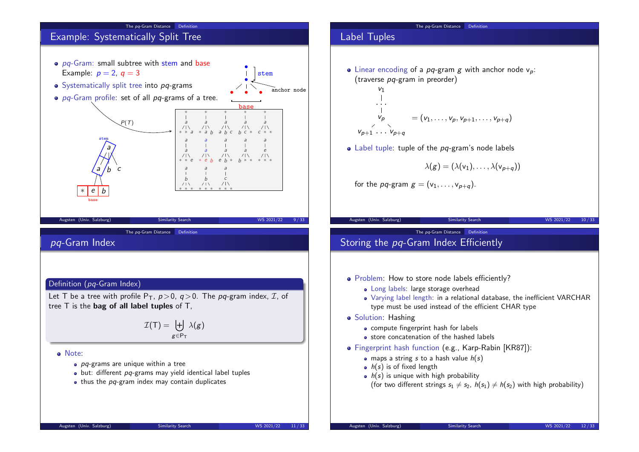

#### The pq-Gram Distance Definition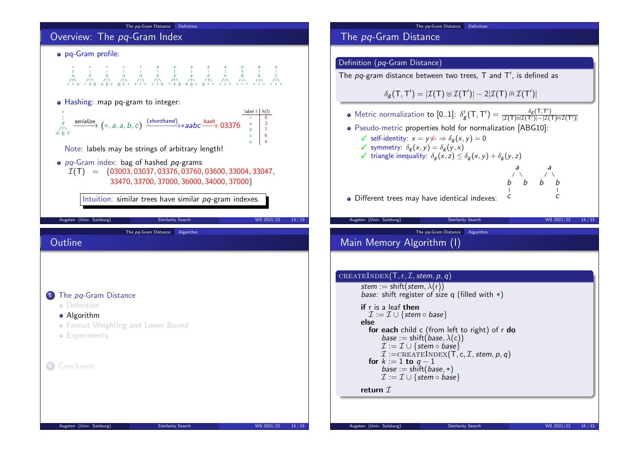

## The pq-Gram Distance Definition ( $pq$ -Gram Distance) The  $\rho q$ -gram distance between two trees, T and T', is defined as  $\delta_{\mathcal{g}}(\mathsf{T},\mathsf{T}') = |\mathcal{I}(\mathsf{T}) \uplus \mathcal{I}(\mathsf{T}')| - 2|\mathcal{I}(\mathsf{T}) \cap \mathcal{I}(\mathsf{T}')|$ Metric normalization to  $[0..1]$ :  $\delta'_{g}(T,T') = \frac{\delta_{g}(T,T')}{|{\cal I}(T)\oplus{\cal I}(T')|-|{\cal I}(T')|}$  $|\mathcal{I}(\mathsf{T})\!\!\uplus\!\!\mathcal{I}(\mathsf{T}')|-|\mathcal{I}(\mathsf{T})\!\!\!\uplus\!\!\mathcal{I}(\mathsf{T}')|$ Pseudo-metric properties hold for normalization [ABG10]:  $\checkmark$  self-identity:  $x = v \notin \Rightarrow \delta_{\sigma}(x, v) = 0$  $\checkmark$  symmetry:  $\delta_g(x, y) = \delta_g(y, x)$  $\checkmark$  triangle inequality:  $\delta_{\sigma}(x, z) \leq \delta_{\sigma}(x, y) + \delta_{\sigma}(y, z)$ • Different trees may have identical indexes: a b b c a b b c Augsten (Univ. Salzburg) Similarity Search WS 2021/22 14/33 The pq-Gram Distance Algorithm Main Memory Algorithm (I)  $\big($  CREATEINDEX $(T, r, \mathcal{I},$  stem,  $p, q)$  $stein := shift(stem, \lambda(r))$ *base*: shift register of size q (filled with  $*$ ) if r is a leaf then  $\mathcal{I} := \mathcal{I} \cup \{$ stem  $\circ$  base $\}$ else for each child c (from left to right) of r do  $base := shift(*base*, \lambda(*c*))$  $\mathcal{I} := \mathcal{I} \cup \{$  stem  $\circ$  base  $\}$ tem,  $p, q$ )

The pq-Gram Distance Definition

$$
\mathcal{I} := \text{CREATEINDEX}(T, c, \mathcal{I}, st)
$$
\n
$$
\text{for } k := 1 \text{ to } q - 1
$$
\n
$$
\text{base} := \text{shift}(\text{base}, *)
$$
\n
$$
\mathcal{I} := \mathcal{I} \cup \{\text{stem} \circ \text{base}\}
$$

return  $I$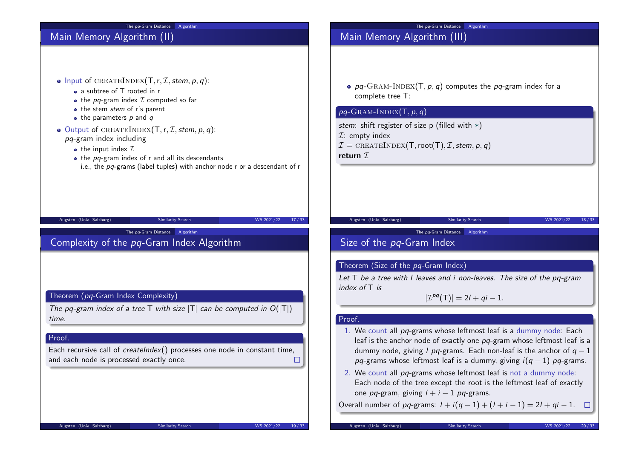| The pq-Gram Distance Algorithm                                                                                                                                                                                                                                                                                                                                                                                                                                                 | Algorithm<br>The pa-Gram Distance                                                                                                                                                                                                                                                                                                                                                                                                                                                                                                                                                                                                                                                                                                                                                                                                                             |  |  |
|--------------------------------------------------------------------------------------------------------------------------------------------------------------------------------------------------------------------------------------------------------------------------------------------------------------------------------------------------------------------------------------------------------------------------------------------------------------------------------|---------------------------------------------------------------------------------------------------------------------------------------------------------------------------------------------------------------------------------------------------------------------------------------------------------------------------------------------------------------------------------------------------------------------------------------------------------------------------------------------------------------------------------------------------------------------------------------------------------------------------------------------------------------------------------------------------------------------------------------------------------------------------------------------------------------------------------------------------------------|--|--|
| Main Memory Algorithm (II)                                                                                                                                                                                                                                                                                                                                                                                                                                                     | Main Memory Algorithm (III)                                                                                                                                                                                                                                                                                                                                                                                                                                                                                                                                                                                                                                                                                                                                                                                                                                   |  |  |
| • Input of CREATEINDEX(T, r, $I$ , stem, $p$ , $q$ ):<br>• a subtree of T rooted in r<br>• the $pq$ -gram index $\mathcal I$ computed so far<br>• the stem stem of r's parent<br>$\bullet$ the parameters p and q<br>• Output of CREATEINDEX(T, r, $I$ , stem, p, q):<br>$pq$ -gram index including<br>• the input index $\mathcal I$<br>$\bullet$ the pq-gram index of r and all its descendants<br>i.e., the pq-grams (label tuples) with anchor node r or a descendant of r | • $pq$ -GRAM-INDEX(T, p, q) computes the pq-gram index for a<br>complete tree T:<br>$pq$ -GRAM-INDEX $(T, p, q)$<br>stem: shift register of size p (filled with $*)$<br>$\mathcal{I}$ : empty index<br>$\mathcal{I} = \text{CREATEINDEX}(T, \text{root}(T), \mathcal{I}, \text{stem}, p, q)$<br>return $\mathcal I$                                                                                                                                                                                                                                                                                                                                                                                                                                                                                                                                           |  |  |
|                                                                                                                                                                                                                                                                                                                                                                                                                                                                                |                                                                                                                                                                                                                                                                                                                                                                                                                                                                                                                                                                                                                                                                                                                                                                                                                                                               |  |  |
| Augsten (Univ. Salzburg)<br>WS 2021/22<br>17/33<br><b>Similarity Search</b>                                                                                                                                                                                                                                                                                                                                                                                                    | Augsten (Univ. Salzburg)<br>Similarity Search<br>WS 2021/22<br>18/33                                                                                                                                                                                                                                                                                                                                                                                                                                                                                                                                                                                                                                                                                                                                                                                          |  |  |
| The pq-Gram Distance Algorithm<br>Complexity of the pq-Gram Index Algorithm                                                                                                                                                                                                                                                                                                                                                                                                    | The pq-Gram Distance Algorithm<br>Size of the pq-Gram Index                                                                                                                                                                                                                                                                                                                                                                                                                                                                                                                                                                                                                                                                                                                                                                                                   |  |  |
| Theorem (pq-Gram Index Complexity)<br>The pq-gram index of a tree T with size $ T $ can be computed in $O( T )$<br>time.<br>Proof.<br>Each recursive call of <i>createlndex</i> () processes one node in constant time,<br>and each node is processed exactly once.<br>ப<br>Augsten (Univ. Salzburg)<br><b>Similarity Search</b><br>WS 2021/22<br>19/33                                                                                                                        | Theorem (Size of the pq-Gram Index)<br>Let $T$ be a tree with I leaves and i non-leaves. The size of the pq-gram<br>index of $T$ is<br>$ \mathcal{I}^{pq}(T)  = 2l + qi - 1.$<br>Proof.<br>1. We count all pq-grams whose leftmost leaf is a dummy node: Each<br>leaf is the anchor node of exactly one pq-gram whose leftmost leaf is a<br>dummy node, giving <i>l pq</i> -grams. Each non-leaf is the anchor of $q-1$<br>pq-grams whose leftmost leaf is a dummy, giving $i(q-1)$ pq-grams.<br>2. We count all pq-grams whose leftmost leaf is not a dummy node:<br>Each node of the tree except the root is the leftmost leaf of exactly<br>one pq-gram, giving $l + i - 1$ pq-grams.<br>Overall number of <i>pq</i> -grams: $1 + i(q - 1) + (1 + i - 1) = 2l + qi - 1$ . □<br>Augsten (Univ. Salzburg)<br><b>Similarity Search</b><br>WS 2021/22<br>20/33 |  |  |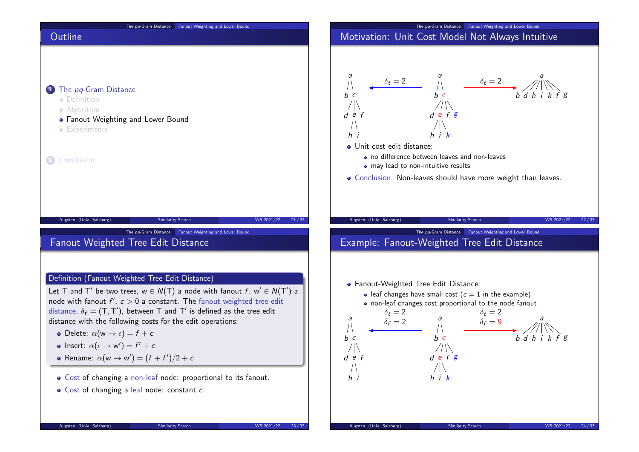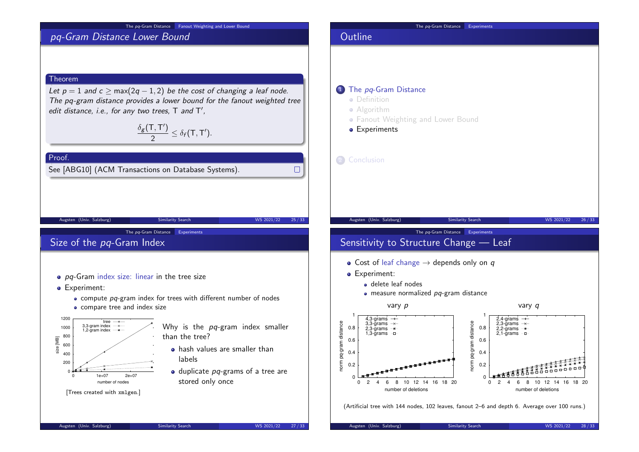#### The pq-Gram Distance Fanout Weighting and Lower Bound

# pq-Gram Distance Lower Bound

### Theorem

Proof.

Let  $p = 1$  and  $c \ge \max(2q - 1, 2)$  be the cost of changing a leaf node. The pq-gram distance provides a lower bound for the fanout weighted tree edit distance, i.e., for any two trees,  $T$  and  $T'$ ,

> $\delta_{\boldsymbol{g}}(\mathsf{T},\mathsf{T}')$  $\frac{1}{2} \leq \delta_f(T,T').$

See [ABG10] (ACM Transactions on Database Systems).

Size of the pq-Gram Index

- $\bullet$  pq-Gram index size: linear in the tree size
- **•** Experiment:
	- compute pq-gram index for trees with different number of nodes

Augsten (Univ. Salzburg) Similarity Search WS 2021/22 25/33

The pa-Gram Distance Experiments

• compare tree and index size



Why is the  $pq$ -gram index smaller than the tree?

- **•** hash values are smaller than labels
- $\bullet$  duplicate  $pq$ -grams of a tree are stored only once



## 1 The pq-Gram Distance

**•** Definition

**Outline** 

- **•** Algorithm
- Fanout Weighting and Lower Bound
- **•** Experiments

2 Conclusion

 $\Box$ 

Augsten (Univ. Salzburg) Similarity Search WS 2021/22 26/33

The pa-Gram Distance Experiments

# Sensitivity to Structure Change — Leaf

- Cost of leaf change  $\rightarrow$  depends only on q
- Experiment:
	- delete leaf nodes
	- $\bullet$  measure normalized  $pq$ -gram distance



(Artificial tree with 144 nodes, 102 leaves, fanout 2–6 and depth 6. Average over 100 runs.)

Augsten (Univ. Salzburg) Similarity Search WS 2021/22 27/33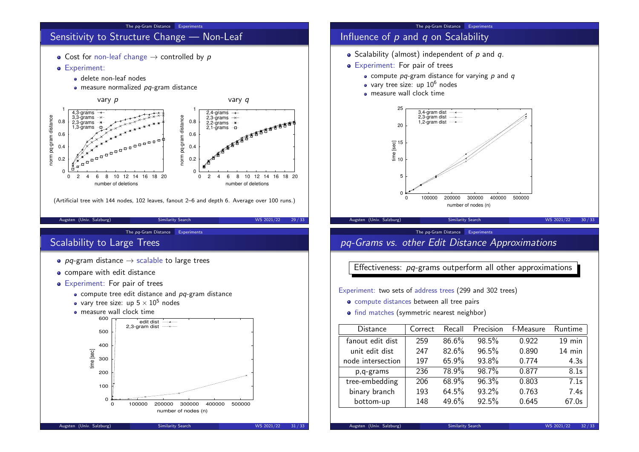

## The pa-Gram Distance Experiments

# Influence of  $p$  and  $q$  on Scalability

- $\bullet$  Scalability (almost) independent of p and q.
- Experiment: For pair of trees
	- $\bullet$  compute pa-gram distance for varying p and  $q$
	- vary tree size: up  $10^6$  nodes
	- **e** measure wall clock time



#### The pa-Gram Distance Experiments

# pq-Grams vs. other Edit Distance Approximations

Effectiveness: pq-grams outperform all other approximations

Experiment: two sets of address trees (299 and 302 trees)

- compute distances between all tree pairs
- find matches (symmetric nearest neighbor)

| <b>Distance</b>   | Correct | Recall | Precision | f-Measure | Runtime  |
|-------------------|---------|--------|-----------|-----------|----------|
| fanout edit dist  | 259     | 86.6%  | 98.5%     | 0.922     | $19$ min |
| unit edit dist    | 247     | 82.6%  | 96.5%     | 0.890     | 14 min   |
| node intersection | 197     | 65.9%  | 93.8%     | 0.774     | 4.3s     |
| p,q-grams         | 236     | 78.9%  | 98.7%     | 0.877     | 8.1s     |
| tree-embedding    | 206     | 68.9%  | 96.3%     | 0.803     | 7.1s     |
| binary branch     | 193     | 64.5%  | 93.2%     | 0.763     | 7.4s     |
| bottom-up         | 148     | 49.6%  | 92.5%     | 0.645     | 67.0s    |

0 100000 200000 300000 400000 500000

number of nodes (n)